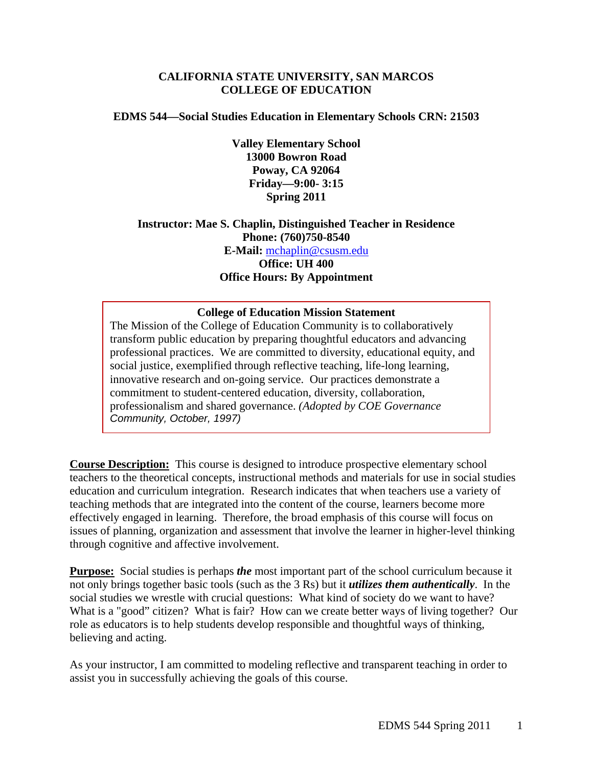### **CALIFORNIA STATE UNIVERSITY, SAN MARCOS COLLEGE OF EDUCATION**

#### **EDMS 544—Social Studies Education in Elementary Schools CRN: 21503**

**Valley Elementary School 13000 Bowron Road Poway, CA 92064 Friday—9:00- 3:15 Spring 2011** 

#### **Instructor: Mae S. Chaplin, Distinguished Teacher in Residence Phone: (760)750-8540 E-Mail:** mchaplin@csusm.edu **Office: UH 400 Office Hours: By Appointment**

#### **College of Education Mission Statement**

The Mission of the College of Education Community is to collaboratively transform public education by preparing thoughtful educators and advancing professional practices. We are committed to diversity, educational equity, and social justice, exemplified through reflective teaching, life-long learning, innovative research and on-going service. Our practices demonstrate a commitment to student-centered education, diversity, collaboration, professionalism and shared governance. *(Adopted by COE Governance Community, October, 1997)* 

**Course Description:** This course is designed to introduce prospective elementary school teachers to the theoretical concepts, instructional methods and materials for use in social studies education and curriculum integration. Research indicates that when teachers use a variety of teaching methods that are integrated into the content of the course, learners become more effectively engaged in learning. Therefore, the broad emphasis of this course will focus on issues of planning, organization and assessment that involve the learner in higher-level thinking through cognitive and affective involvement.

**Purpose:** Social studies is perhaps *the* most important part of the school curriculum because it social studies we wrestle with crucial questions: What kind of society do we want to have? not only brings together basic tools (such as the 3 Rs) but it *utilizes them authentically*. In the What is a "good" citizen? What is fair? How can we create better ways of living together? Our role as educators is to help students develop responsible and thoughtful ways of thinking, believing and acting.

As your instructor, I am committed to modeling reflective and transparent teaching in order to assist you in successfully achieving the goals of this course.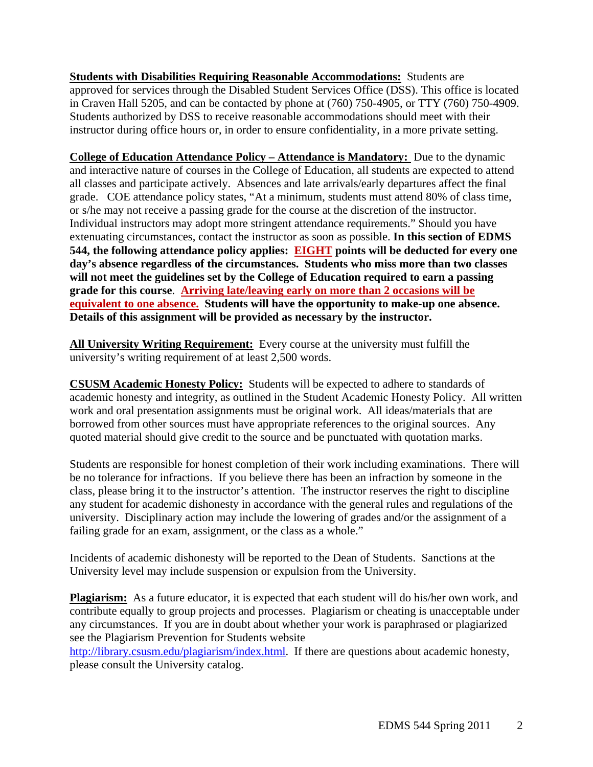**Students with Disabilities Requiring Reasonable Accommodations:** Students are approved for services through the Disabled Student Services Office (DSS). This office is located in Craven Hall 5205, and can be contacted by phone at (760) 750-4905, or TTY (760) 750-4909. Students authorized by DSS to receive reasonable accommodations should meet with their instructor during office hours or, in order to ensure confidentiality, in a more private setting.

**College of Education Attendance Policy – Attendance is Mandatory:** Due to the dynamic and interactive nature of courses in the College of Education, all students are expected to attend all classes and participate actively. Absences and late arrivals/early departures affect the final grade. COE attendance policy states, "At a minimum, students must attend 80% of class time, or s/he may not receive a passing grade for the course at the discretion of the instructor. Individual instructors may adopt more stringent attendance requirements." Should you have extenuating circumstances, contact the instructor as soon as possible. **In this section of EDMS 544, the following attendance policy applies: EIGHT points will be deducted for every one day's absence regardless of the circumstances. Students who miss more than two classes will not meet the guidelines set by the College of Education required to earn a passing grade for this course**. **Arriving late/leaving early on more than 2 occasions will be equivalent to one absence. Students will have the opportunity to make-up one absence.** 

 **Details of this assignment will be provided as necessary by the instructor. All University Writing Requirement:** Every course at the university must fulfill the **All University Writing Requirement:** Every course at the university must fulfill the university's writing requirement of at least 2,500 words.

**CSUSM Academic Honesty Policy:** Students will be expected to adhere to standards of academic honesty and integrity, as outlined in the Student Academic Honesty Policy. All written work and oral presentation assignments must be original work. All ideas/materials that are borrowed from other sources must have appropriate references to the original sources. Any quoted material should give credit to the source and be punctuated with quotation marks.

Students are responsible for honest completion of their work including examinations. There will be no tolerance for infractions. If you believe there has been an infraction by someone in the class, please bring it to the instructor's attention. The instructor reserves the right to discipline any student for academic dishonesty in accordance with the general rules and regulations of the university. Disciplinary action may include the lowering of grades and/or the assignment of a failing grade for an exam, assignment, or the class as a whole."

Incidents of academic dishonesty will be reported to the Dean of Students. Sanctions at the University level may include suspension or expulsion from the University.

Plagiarism: As a future educator, it is expected that each student will do his/her own work, and contribute equally to group projects and processes. Plagiarism or cheating is unacceptable under any circumstances. If you are in doubt about whether your work is paraphrased or plagiarized see the Plagiarism Prevention for Students website

http://library.csusm.edu/plagiarism/index.html. If there are questions about academic honesty, please consult the University catalog.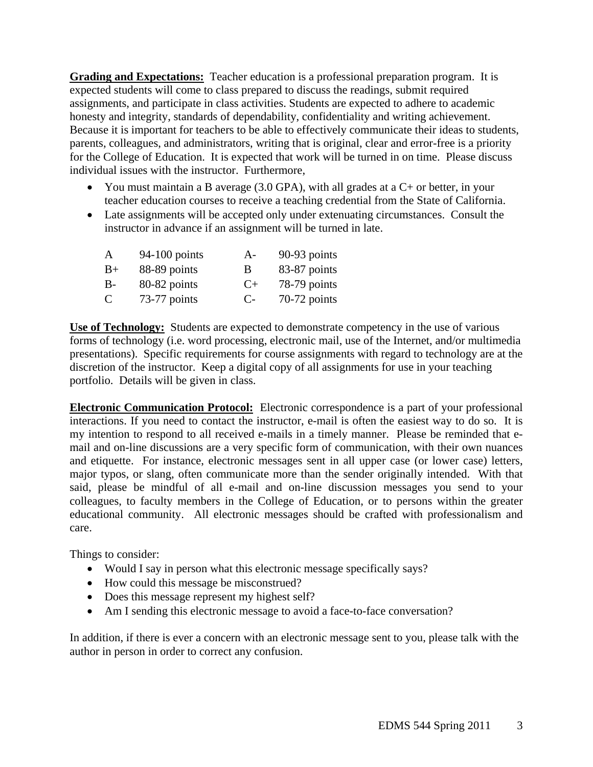**Grading and Expectations:** Teacher education is a professional preparation program. It is expected students will come to class prepared to discuss the readings, submit required assignments, and participate in class activities. Students are expected to adhere to academic honesty and integrity, standards of dependability, confidentiality and writing achievement. Because it is important for teachers to be able to effectively communicate their ideas to students, parents, colleagues, and administrators, writing that is original, clear and error-free is a priority for the College of Education. It is expected that work will be turned in on time. Please discuss individual issues with the instructor. Furthermore,

- You must maintain a B average  $(3.0 \text{ GPA})$ , with all grades at a C+ or better, in your teacher education courses to receive a teaching credential from the State of California.
- Late assignments will be accepted only under extenuating circumstances. Consult the instructor in advance if an assignment will be turned in late.

| A    | $94-100$ points | $A-$      | 90-93 points   |
|------|-----------------|-----------|----------------|
| $B+$ | 88-89 points    | B         | 83-87 points   |
| $B-$ | 80-82 points    | $C+$      | 78-79 points   |
| C    | 73-77 points    | $C_{\pm}$ | $70-72$ points |

**Use of Technology:** Students are expected to demonstrate competency in the use of various forms of technology (i.e. word processing, electronic mail, use of the Internet, and/or multimedia presentations). Specific requirements for course assignments with regard to technology are at the discretion of the instructor. Keep a digital copy of all assignments for use in your teaching portfolio. Details will be given in class.

**Electronic Communication Protocol:** Electronic correspondence is a part of your professional interactions. If you need to contact the instructor, e-mail is often the easiest way to do so. It is my intention to respond to all received e-mails in a timely manner. Please be reminded that email and on-line discussions are a very specific form of communication, with their own nuances and etiquette. For instance, electronic messages sent in all upper case (or lower case) letters, major typos, or slang, often communicate more than the sender originally intended. With that said, please be mindful of all e-mail and on-line discussion messages you send to your colleagues, to faculty members in the College of Education, or to persons within the greater educational community. All electronic messages should be crafted with professionalism and care.

Things to consider:

- Would I say in person what this electronic message specifically says?
- How could this message be misconstrued?
- Does this message represent my highest self?
- Am I sending this electronic message to avoid a face-to-face conversation?

In addition, if there is ever a concern with an electronic message sent to you, please talk with the author in person in order to correct any confusion.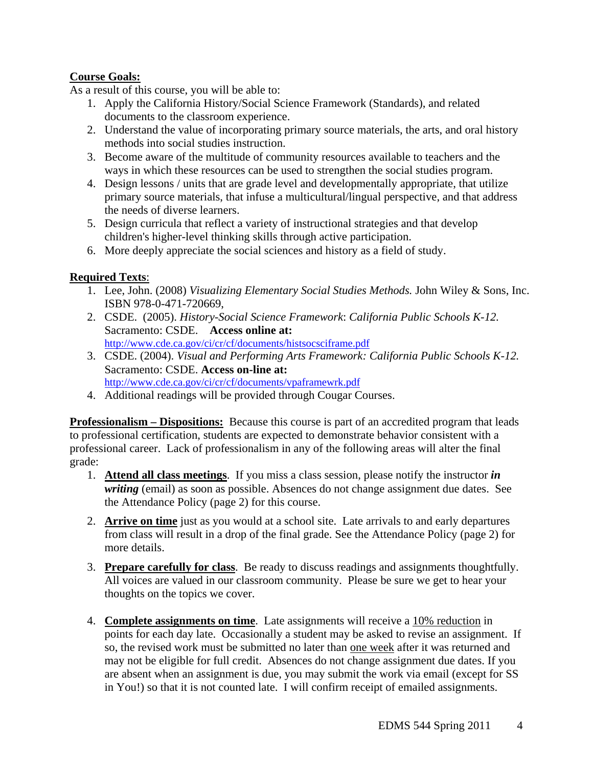# **Course Goals:**

As a result of this course, you will be able to:

- 1. Apply the California History/Social Science Framework (Standards), and related documents to the classroom experience.
- 2. Understand the value of incorporating primary source materials, the arts, and oral history methods into social studies instruction.
- 3. Become aware of the multitude of community resources available to teachers and the ways in which these resources can be used to strengthen the social studies program.
- 4. Design lessons / units that are grade level and developmentally appropriate, that utilize primary source materials, that infuse a multicultural/lingual perspective, and that address the needs of diverse learners.
- 5. Design curricula that reflect a variety of instructional strategies and that develop children's higher-level thinking skills through active participation.
- 6. More deeply appreciate the social sciences and history as a field of study.

# **Required Texts**:

- 1. Lee, John. (2008) *Visualizing Elementary Social Studies Methods.* John Wiley & Sons, Inc. ISBN 978-0-471-720669,
- 2. CSDE. (2005). *History-Social Science Framework*: *California Public Schools K-12.*  Sacramento: CSDE. **Access online at:**  http://www.cde.ca.gov/ci/cr/cf/documents/histsocsciframe.pdf
- 3. CSDE. (2004). *Visual and Performing Arts Framework: California Public Schools K-12.*  Sacramento: CSDE. **Access on-line at:**  http://www.cde.ca.gov/ci/cr/cf/documents/vpaframewrk.pdf
- 4. Additional readings will be provided through Cougar Courses.

**Professionalism – Dispositions:** Because this course is part of an accredited program that leads to professional certification, students are expected to demonstrate behavior consistent with a professional career. Lack of professionalism in any of the following areas will alter the final grade:

- 1. **Attend all class meetings**. If you miss a class session, please notify the instructor *in writing* (email) as soon as possible. Absences do not change assignment due dates. See the Attendance Policy (page 2) for this course.
- 2. **Arrive on time** just as you would at a school site. Late arrivals to and early departures from class will result in a drop of the final grade. See the Attendance Policy (page 2) for more details.
- 3. **Prepare carefully for class**. Be ready to discuss readings and assignments thoughtfully. All voices are valued in our classroom community. Please be sure we get to hear your thoughts on the topics we cover.
- in You!) so that it is not counted late. I will confirm receipt of emailed assignments. 4. **Complete assignments on time**. Late assignments will receive a 10% reduction in points for each day late. Occasionally a student may be asked to revise an assignment. If so, the revised work must be submitted no later than one week after it was returned and may not be eligible for full credit. Absences do not change assignment due dates. If you are absent when an assignment is due, you may submit the work via email (except for SS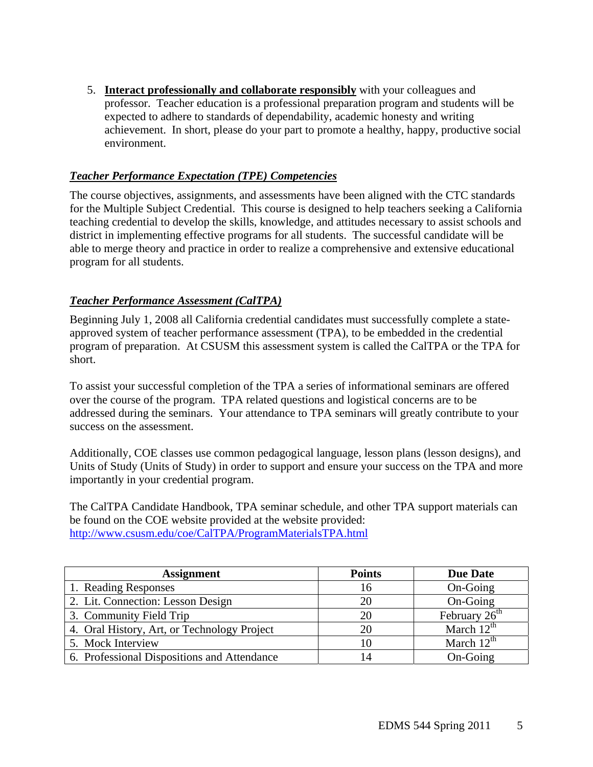5. **Interact professionally and collaborate responsibly** with your colleagues and professor. Teacher education is a professional preparation program and students will be expected to adhere to standards of dependability, academic honesty and writing achievement. In short, please do your part to promote a healthy, happy, productive social environment.

## *Teacher Performance Expectation (TPE) Competencies*

The course objectives, assignments, and assessments have been aligned with the CTC standards for the Multiple Subject Credential. This course is designed to help teachers seeking a California teaching credential to develop the skills, knowledge, and attitudes necessary to assist schools and district in implementing effective programs for all students. The successful candidate will be able to merge theory and practice in order to realize a comprehensive and extensive educational program for all students.

# *Teacher Performance Assessment (CalTPA)*

Beginning July 1, 2008 all California credential candidates must successfully complete a stateapproved system of teacher performance assessment (TPA), to be embedded in the credential program of preparation. At CSUSM this assessment system is called the CalTPA or the TPA for short.

To assist your successful completion of the TPA a series of informational seminars are offered over the course of the program. TPA related questions and logistical concerns are to be addressed during the seminars. Your attendance to TPA seminars will greatly contribute to your success on the assessment.

Additionally, COE classes use common pedagogical language, lesson plans (lesson designs), and Units of Study (Units of Study) in order to support and ensure your success on the TPA and more importantly in your credential program.

The CalTPA Candidate Handbook, TPA seminar schedule, and other TPA support materials can be found on the COE website provided at the website provided: http://www.csusm.edu/coe/CalTPA/ProgramMaterialsTPA.html

| <b>Assignment</b>                           | <b>Points</b> | <b>Due Date</b>           |
|---------------------------------------------|---------------|---------------------------|
| 1. Reading Responses                        | 16            | On-Going                  |
| 2. Lit. Connection: Lesson Design           | 20            | On-Going                  |
| 3. Community Field Trip                     | 20            | February 26 <sup>th</sup> |
| 4. Oral History, Art, or Technology Project | 20            | March $12th$              |
| 5. Mock Interview                           | 10            | March $12th$              |
| 6. Professional Dispositions and Attendance | 14            | On-Going                  |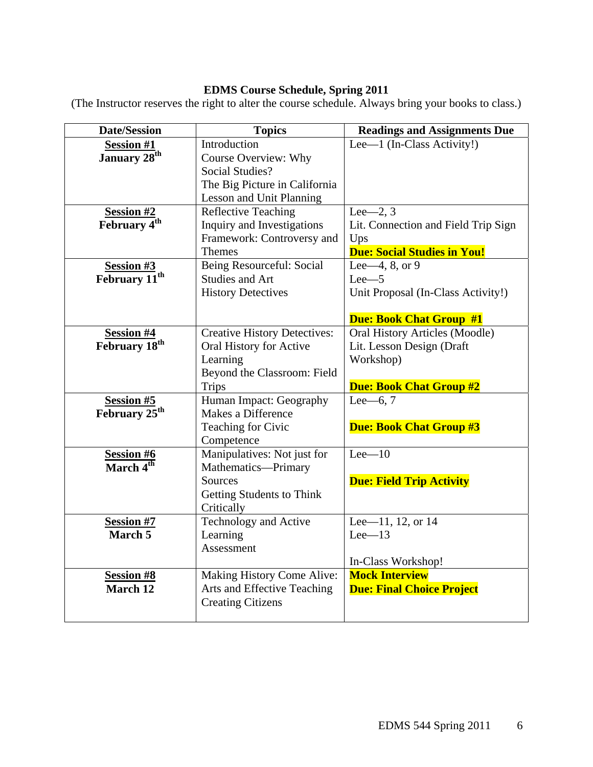# **EDMS Course Schedule, Spring 2011**

(The Instructor reserves the right to alter the course schedule. Always bring your books to class.)

| <b>Date/Session</b>       | <b>Topics</b>                       | <b>Readings and Assignments Due</b> |
|---------------------------|-------------------------------------|-------------------------------------|
| <b>Session #1</b>         | Introduction                        | Lee—1 (In-Class Activity!)          |
| January 28 <sup>th</sup>  | <b>Course Overview: Why</b>         |                                     |
|                           | <b>Social Studies?</b>              |                                     |
|                           | The Big Picture in California       |                                     |
|                           | Lesson and Unit Planning            |                                     |
| <b>Session #2</b>         | <b>Reflective Teaching</b>          | Lee $-2, 3$                         |
| February 4 <sup>th</sup>  | Inquiry and Investigations          | Lit. Connection and Field Trip Sign |
|                           | Framework: Controversy and          | Ups                                 |
|                           | Themes                              | <b>Due: Social Studies in You!</b>  |
| <b>Session #3</b>         | Being Resourceful: Social           | Lee $-4, 8,$ or 9                   |
| February 11 <sup>th</sup> | <b>Studies and Art</b>              | $Lee-5$                             |
|                           | <b>History Detectives</b>           | Unit Proposal (In-Class Activity!)  |
|                           |                                     |                                     |
|                           |                                     | <b>Due: Book Chat Group #1</b>      |
| <b>Session #4</b>         | <b>Creative History Detectives:</b> | Oral History Articles (Moodle)      |
| February 18 <sup>th</sup> | Oral History for Active             | Lit. Lesson Design (Draft           |
|                           | Learning                            | Workshop)                           |
|                           | Beyond the Classroom: Field         |                                     |
|                           | <b>Trips</b>                        | <b>Due: Book Chat Group #2</b>      |
| <b>Session #5</b>         | Human Impact: Geography             | Lee $-6, 7$                         |
| February $25^{\text{th}}$ | Makes a Difference                  |                                     |
|                           | Teaching for Civic                  | <b>Due: Book Chat Group #3</b>      |
|                           | Competence                          |                                     |
| Session #6                | Manipulatives: Not just for         | $Lee - 10$                          |
| March $4^{th}$            | Mathematics-Primary                 |                                     |
|                           | Sources                             | <b>Due: Field Trip Activity</b>     |
|                           | Getting Students to Think           |                                     |
|                           | Critically                          |                                     |
| <b>Session #7</b>         | Technology and Active               | Lee-11, 12, or 14                   |
| March 5                   | Learning                            | $Lee - 13$                          |
|                           | Assessment                          |                                     |
|                           |                                     | In-Class Workshop!                  |
| Session #8                | Making History Come Alive:          | <b>Mock Interview</b>               |
| <b>March 12</b>           | Arts and Effective Teaching         | <b>Due: Final Choice Project</b>    |
|                           | <b>Creating Citizens</b>            |                                     |
|                           |                                     |                                     |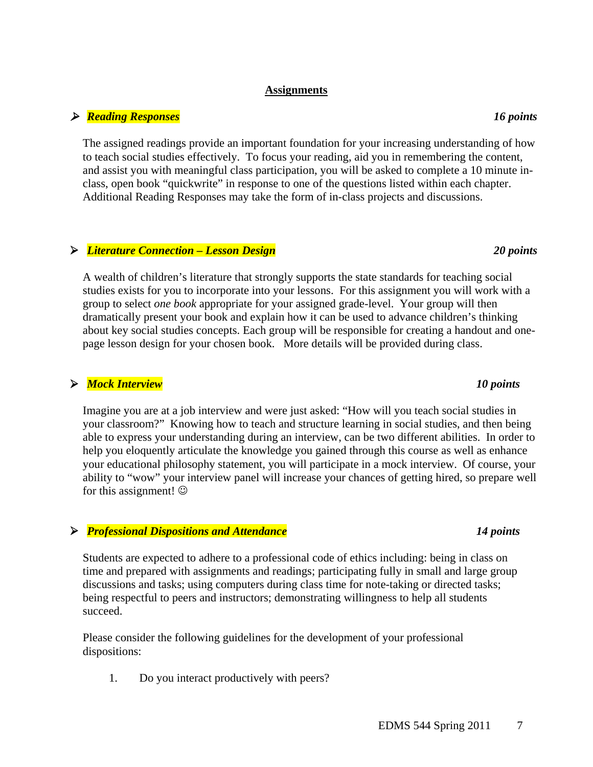#### **Assignments**

### *Reading Responses 16 points*

The assigned readings provide an important foundation for your increasing understanding of how to teach social studies effectively. To focus your reading, aid you in remembering the content, and assist you with meaningful class participation, you will be asked to complete a 10 minute inclass, open book "quickwrite" in response to one of the questions listed within each chapter. Additional Reading Responses may take the form of in-class projects and discussions.

### *Literature Connection – Lesson Design 20 points*

A wealth of children's literature that strongly supports the state standards for teaching social studies exists for you to incorporate into your lessons. For this assignment you will work with a group to select *one book* appropriate for your assigned grade-level. Your group will then dramatically present your book and explain how it can be used to advance children's thinking about key social studies concepts. Each group will be responsible for creating a handout and onepage lesson design for your chosen book. More details will be provided during class.

### *Mock Interview 10 points*

Imagine you are at a job interview and were just asked: "How will you teach social studies in your classroom?" Knowing how to teach and structure learning in social studies, and then being able to express your understanding during an interview, can be two different abilities. In order to help you eloquently articulate the knowledge you gained through this course as well as enhance your educational philosophy statement, you will participate in a mock interview. Of course, your ability to "wow" your interview panel will increase your chances of getting hired, so prepare well for this assignment!  $\odot$ 

### *Professional Dispositions and Attendance 14 points*

Students are expected to adhere to a professional code of ethics including: being in class on time and prepared with assignments and readings; participating fully in small and large group discussions and tasks; using computers during class time for note-taking or directed tasks; being respectful to peers and instructors; demonstrating willingness to help all students succeed.

Please consider the following guidelines for the development of your professional dispositions:

1. Do you interact productively with peers?